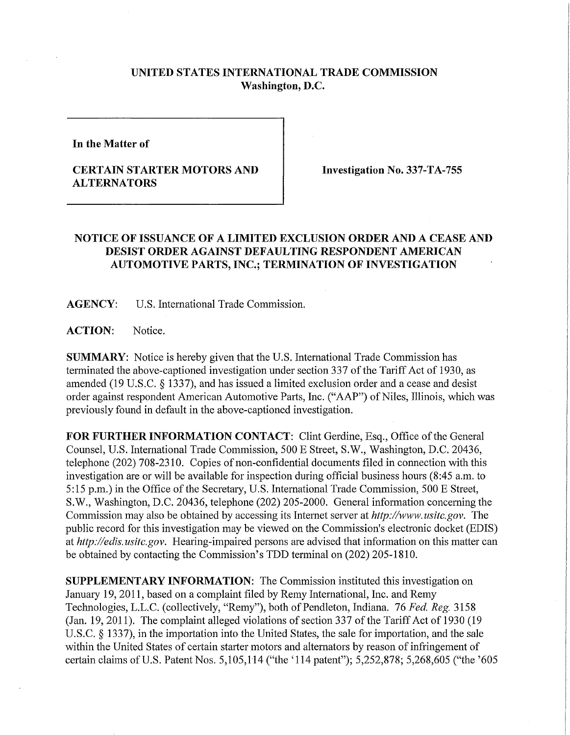## **UNITED STATES INTERNATIONAL TRADE COMMISSION Washington, D.C.**

**In the Matter of** 

## **CERTAIN STARTER MOTORS AND ALTERNATORS**

**Investigation No. 337-TA-755** 

## **NOTICE OF ISSUANCE OF A LIMITED EXCLUSION ORDER AND A CEASE AND DESIST ORDER AGAINST DEFAULTING RESPONDENT AMERICAN AUTOMOTIVE PARTS, INC.; TERMINATION OF INVESTIGATION**

**AGENCY:** U.S. International Trade Commission.

**ACTION:** Notice.

**SUMMARY:** Notice is hereby given that the U.S. International Trade Commission has terminated the above-captioned investigation under section 337 of the Tariff Act of 1930, as amended (19 U.S.C. § 1337), and has issued a limited exclusion order and a cease and desist order against respondent American Automotive Parts, Inc. ("AAP") of Niles, Illinois, which was previously found in default in the above-captioned investigation.

**FOR FURTHER INFORMATION CONTACT:** Clint Gerdine, Esq., Office of the General Counsel, U.S. International Trade Commission, 500 E Street, S.W., Washington, D.C. 20436, telephone (202) 708-2310. Copies of non-confidential documents filed in connection with this investigation are or will be available for inspection during official business hours (8:45 a.m. to 5:15 p.m.) in the Office of the Secretary, U.S. International Trade Commission, 500 E Street, S.W., Washington, D.C. 20436, telephone (202) 205-2000. General information concerning the Commission may also be obtained by accessing its Internet server at *http://www.usitc.gov.* The public record for this investigation may be viewed on the Commission's electronic docket (EDIS) at *http://edis. usitc.gov.* Hearing-impaired persons are advised that infonnation on this matter can be obtained by contacting the Commission's TDD terminal on (202) 205-1810.

**SUPPLEMENTARY INFORMATION:** The Commission instituted this investigation on January 19, 2011, based on a complaint filed by Remy International, Inc. and Remy Technologies, L.L.C. (collectively, "Remy"), both of Pendleton, Indiana. 76 *Fed. Reg.* 3158 (Jan. 19, 2011). The complaint alleged violations of section 337 of the Tariff Act of 1930 (19 U.S.C. § 1337), in the importation into the United States, the sale for importation, and the sale within the United States of certain starter motors and alternators by reason of infringement of certain claims of U.S. Patent Nos. 5,105,114 ("the '114 patent"); 5,252,878; 5,268,605 ("the '605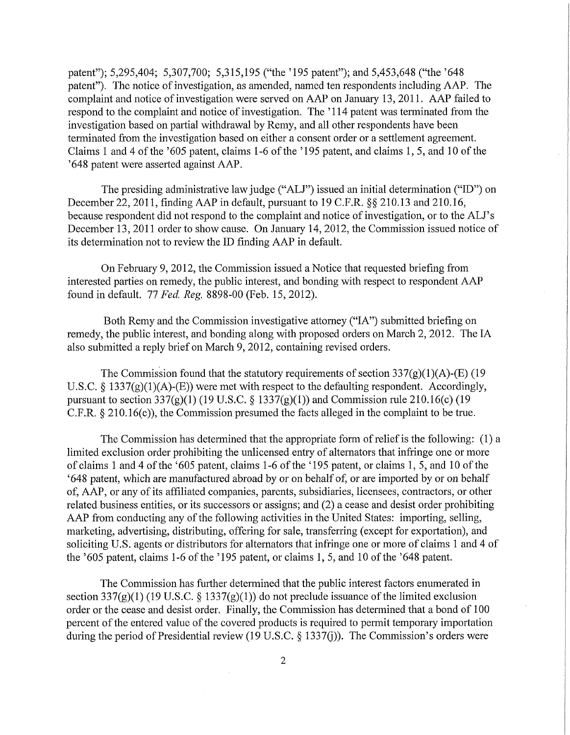patent"); 5,295,404; 5,307,700; 5,315,195 ("the '195 patent"); and 5,453,648 ("the '648 patent"). The notice of investigation, as amended, named ten respondents including AAP. The complaint and notice of investigation were served on AAP on January 13, 2011. AAP failed to respond to the complaint and notice of investigation. The '114 patent was terminated from the investigation based on partial withdrawal by Remy, and all other respondents have been terminated from the investigation based on either a consent order or a settlement agreement. Claims 1 and 4 of the '605 patent, claims 1-6 of the '195 patent, and claims 1,5, and 10 of the '648 patent were asserted against AAP .

The presiding administrative law judge ("ALJ") issued an initial determination ("ID") on December 22, 2011, finding AAP in default, pursuant to 19 C.F.R. §§ 210.13 and 210.16, because respondent did not respond to the complaint and notice of investigation, or to the ALJ's December 13, 2011 order to show cause. On January 14, 2012, the Commission issued notice of its determination not to review the ID finding AAP in default.

On February 9, 2012, the Commission issued a Notice that requested briefing from interested parties on remedy, the public interest, and bonding with respect to respondent AA P found in default. 77 *Fed. Reg.* 8898-00 (Feb. 15, 2012).

Both Remy and the Commission investigative attorney ("IA") submitted briefing on remedy, the public interest, and bonding along with proposed orders on March 2, 2012. The IA also submitted a reply brief on March 9, 2012, containing revised orders.

The Commission found that the statutory requirements of section  $337(g)(1)(A)$ -(E) (19 U.S.C. § 1337(g)(1)(A)-(E)) were met with respect to the defaulting respondent. Accordingly, pursuant to section  $337(g)(1)$  (19 U.S.C. § 1337(g)(1)) and Commission rule 210.16(c) (19 C.F.R. § 210.16(c)), the Commission presumed the facts alleged in the complaint to be true.

The Commission has determined that the appropriate form of relief is the following: (1) a limited exclusion order prohibiting the unlicensed entry of alternators that infringe one or more of claims 1 and 4 of the '605 patent, claims 1-6 of the '195 patent, or claims 1, 5, and 10 of the '648 patent, which are manufactured abroad by or on behalf of, or are imported by or on behalf of, AAP , or any of its affiliated companies, parents, subsidiaries, licensees, contractors, or other related business entities, or its successors or assigns; and (2) a cease and desist order prohibiting AAP from conducting any of the following activities in the United States: importing, selling, marketing, advertising, distributing, offering for sale, transferring (except for exportation), and soliciting U.S. agents or distributors for alternators that infringe one or more of claims 1 and 4 of the '605 patent, claims 1-6 of the '195 patent, or claims 1, 5, and 10 of the '648 patent.

The Commission has further determined that the public interest factors enumerated in section 337(g)(1) (19 U.S.C. § 1337(g)(1)) do not preclude issuance of the limited exclusion order or the cease and desist order. Finally, the Commission has determined that a bond of 100 percent of the entered value of the covered products is required to permit temporary importation during the period of Presidential review (19 U.S.C. § 1337(j)). The Commission's orders were